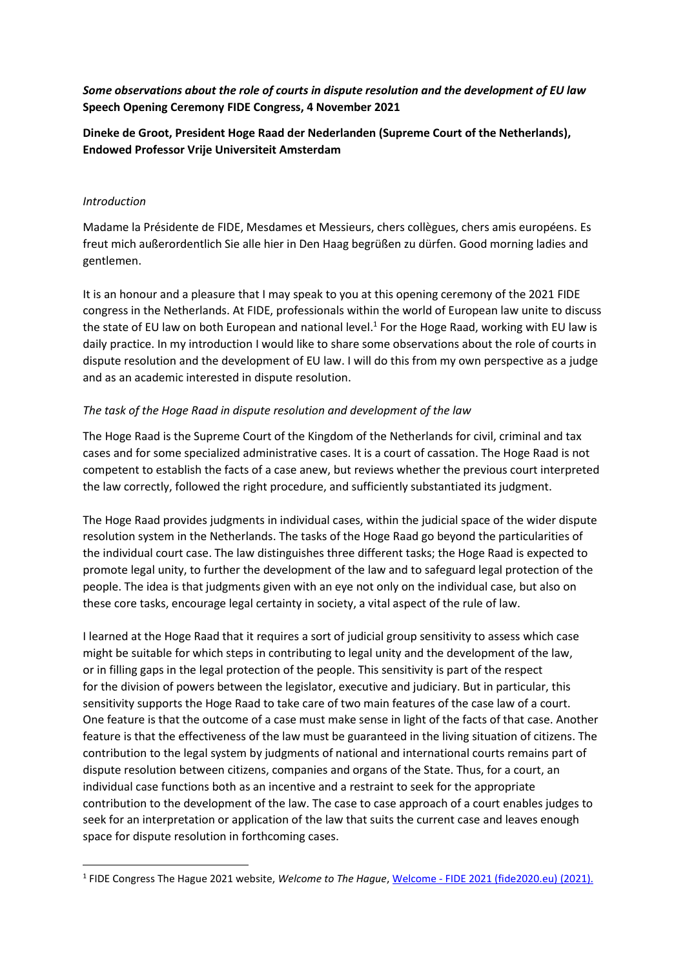*Some observations about the role of courts in dispute resolution and the development of EU law* **Speech Opening Ceremony FIDE Congress, 4 November 2021**

**Dineke de Groot, President Hoge Raad der Nederlanden (Supreme Court of the Netherlands), Endowed Professor Vrije Universiteit Amsterdam**

#### *Introduction*

**.** 

Madame la Présidente de FIDE, Mesdames et Messieurs, chers collègues, chers amis européens. Es freut mich außerordentlich Sie alle hier in Den Haag begrüßen zu dürfen. Good morning ladies and gentlemen.

It is an honour and a pleasure that I may speak to you at this opening ceremony of the 2021 FIDE congress in the Netherlands. At FIDE, professionals within the world of European law unite to discuss the state of EU law on both European and national level.<sup>1</sup> For the Hoge Raad, working with EU law is daily practice. In my introduction I would like to share some observations about the role of courts in dispute resolution and the development of EU law. I will do this from my own perspective as a judge and as an academic interested in dispute resolution.

## *The task of the Hoge Raad in dispute resolution and development of the law*

The Hoge Raad is the Supreme Court of the Kingdom of the Netherlands for civil, criminal and tax cases and for some specialized administrative cases. It is a court of cassation. The Hoge Raad is not competent to establish the facts of a case anew, but reviews whether the previous court interpreted the law correctly, followed the right procedure, and sufficiently substantiated its judgment.

The Hoge Raad provides judgments in individual cases, within the judicial space of the wider dispute resolution system in the Netherlands. The tasks of the Hoge Raad go beyond the particularities of the individual court case. The law distinguishes three different tasks; the Hoge Raad is expected to promote legal unity, to further the development of the law and to safeguard legal protection of the people. The idea is that judgments given with an eye not only on the individual case, but also on these core tasks, encourage legal certainty in society, a vital aspect of the rule of law.

I learned at the Hoge Raad that it requires a sort of judicial group sensitivity to assess which case might be suitable for which steps in contributing to legal unity and the development of the law, or in filling gaps in the legal protection of the people. This sensitivity is part of the respect for the division of powers between the legislator, executive and judiciary. But in particular, this sensitivity supports the Hoge Raad to take care of two main features of the case law of a court. One feature is that the outcome of a case must make sense in light of the facts of that case. Another feature is that the effectiveness of the law must be guaranteed in the living situation of citizens. The contribution to the legal system by judgments of national and international courts remains part of dispute resolution between citizens, companies and organs of the State. Thus, for a court, an individual case functions both as an incentive and a restraint to seek for the appropriate contribution to the development of the law. The case to case approach of a court enables judges to seek for an interpretation or application of the law that suits the current case and leaves enough space for dispute resolution in forthcoming cases.

<sup>&</sup>lt;sup>1</sup> FIDE Congress The Hague 2021 website, Welcome to The Hague, Welcome - [FIDE 2021 \(fide2020.eu\)](https://fide2020.eu/welcome/) (2021).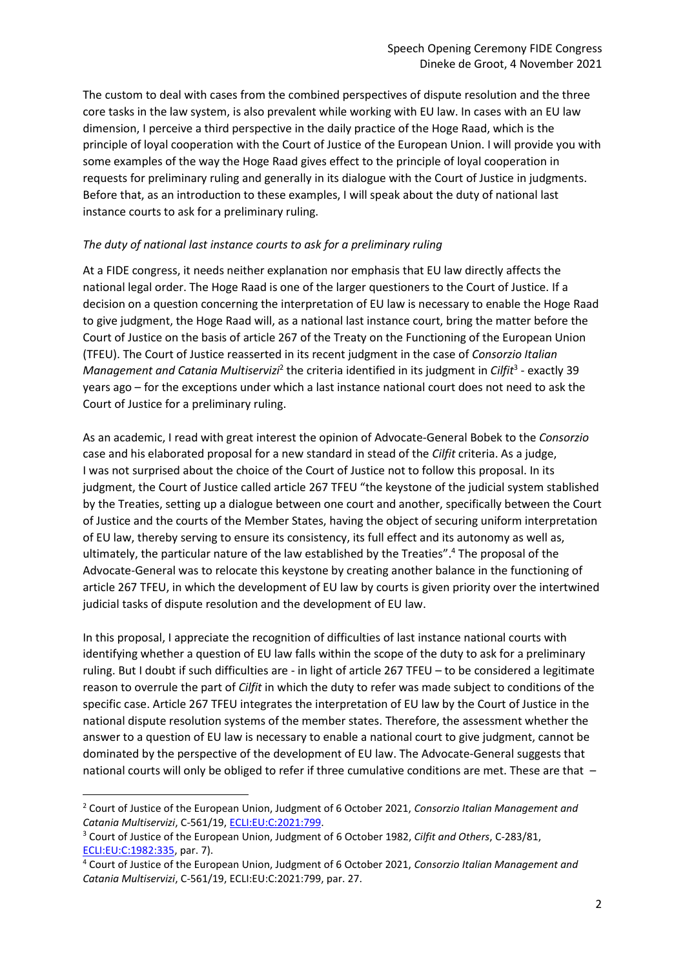The custom to deal with cases from the combined perspectives of dispute resolution and the three core tasks in the law system, is also prevalent while working with EU law. In cases with an EU law dimension, I perceive a third perspective in the daily practice of the Hoge Raad, which is the principle of loyal cooperation with the Court of Justice of the European Union. I will provide you with some examples of the way the Hoge Raad gives effect to the principle of loyal cooperation in requests for preliminary ruling and generally in its dialogue with the Court of Justice in judgments. Before that, as an introduction to these examples, I will speak about the duty of national last instance courts to ask for a preliminary ruling.

### *The duty of national last instance courts to ask for a preliminary ruling*

At a FIDE congress, it needs neither explanation nor emphasis that EU law directly affects the national legal order. The Hoge Raad is one of the larger questioners to the Court of Justice. If a decision on a question concerning the interpretation of EU law is necessary to enable the Hoge Raad to give judgment, the Hoge Raad will, as a national last instance court, bring the matter before the Court of Justice on the basis of article 267 of the Treaty on the Functioning of the European Union (TFEU). The Court of Justice reasserted in its recent judgment in the case of *Consorzio Italian*  Management and Catania Multiservizi<sup>2</sup> the criteria identified in its judgment in *Cilfit*<sup>3</sup> - exactly 39 years ago – for the exceptions under which a last instance national court does not need to ask the Court of Justice for a preliminary ruling.

As an academic, I read with great interest the opinion of Advocate-General Bobek to the *Consorzio* case and his elaborated proposal for a new standard in stead of the *Cilfit* criteria. As a judge, I was not surprised about the choice of the Court of Justice not to follow this proposal. In its judgment, the Court of Justice called article 267 TFEU "the keystone of the judicial system stablished by the Treaties, setting up a dialogue between one court and another, specifically between the Court of Justice and the courts of the Member States, having the object of securing uniform interpretation of EU law, thereby serving to ensure its consistency, its full effect and its autonomy as well as, ultimately, the particular nature of the law established by the Treaties". <sup>4</sup> The proposal of the Advocate-General was to relocate this keystone by creating another balance in the functioning of article 267 TFEU, in which the development of EU law by courts is given priority over the intertwined judicial tasks of dispute resolution and the development of EU law.

In this proposal, I appreciate the recognition of difficulties of last instance national courts with identifying whether a question of EU law falls within the scope of the duty to ask for a preliminary ruling. But I doubt if such difficulties are - in light of article 267 TFEU – to be considered a legitimate reason to overrule the part of *Cilfit* in which the duty to refer was made subject to conditions of the specific case. Article 267 TFEU integrates the interpretation of EU law by the Court of Justice in the national dispute resolution systems of the member states. Therefore, the assessment whether the answer to a question of EU law is necessary to enable a national court to give judgment, cannot be dominated by the perspective of the development of EU law. The Advocate-General suggests that national courts will only be obliged to refer if three cumulative conditions are met. These are that –

**.** 

<sup>2</sup> Court of Justice of the European Union, Judgment of 6 October 2021, *Consorzio Italian Management and Catania Multiservizi*, C-561/19[, ECLI:EU:C:2021:799.](https://curia.europa.eu/juris/liste.jsf?language=en&td=ALL&num=C-561/19)

<sup>3</sup> Court of Justice of the European Union, Judgment of 6 October 1982, *Cilfit and Others*, C-283/81, [ECLI:EU:C:1982:335,](https://curia.europa.eu/juris/liste.jsf?language=en&jur=C,T,F&num=283/81&td=ALL) par. 7).

<sup>4</sup> Court of Justice of the European Union, Judgment of 6 October 2021, *Consorzio Italian Management and Catania Multiservizi*, C-561/19, ECLI:EU:C:2021:799, par. 27.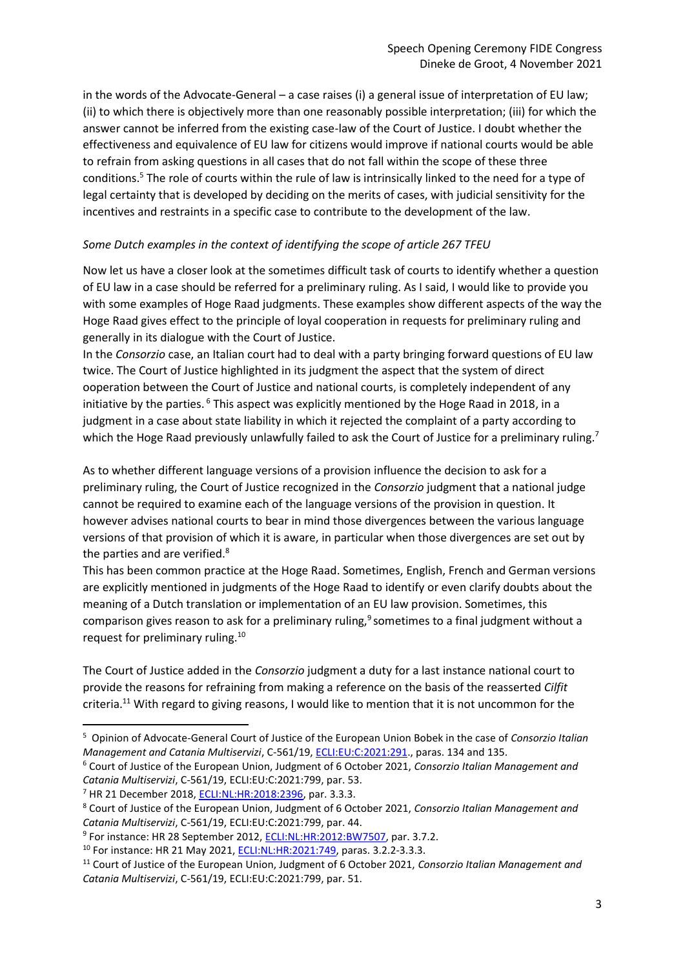in the words of the Advocate-General – a case raises (i) a general issue of interpretation of EU law; (ii) to which there is objectively more than one reasonably possible interpretation; (iii) for which the answer cannot be inferred from the existing case-law of the Court of Justice. I doubt whether the effectiveness and equivalence of EU law for citizens would improve if national courts would be able to refrain from asking questions in all cases that do not fall within the scope of these three conditions.<sup>5</sup> The role of courts within the rule of law is intrinsically linked to the need for a type of legal certainty that is developed by deciding on the merits of cases, with judicial sensitivity for the incentives and restraints in a specific case to contribute to the development of the law.

### *Some Dutch examples in the context of identifying the scope of article 267 TFEU*

Now let us have a closer look at the sometimes difficult task of courts to identify whether a question of EU law in a case should be referred for a preliminary ruling. As I said, I would like to provide you with some examples of Hoge Raad judgments. These examples show different aspects of the way the Hoge Raad gives effect to the principle of loyal cooperation in requests for preliminary ruling and generally in its dialogue with the Court of Justice.

In the *Consorzio* case, an Italian court had to deal with a party bringing forward questions of EU law twice. The Court of Justice highlighted in its judgment the aspect that the system of direct ooperation between the Court of Justice and national courts, is completely independent of any initiative by the parties.<sup>6</sup> This aspect was explicitly mentioned by the Hoge Raad in 2018, in a judgment in a case about state liability in which it rejected the complaint of a party according to which the Hoge Raad previously unlawfully failed to ask the Court of Justice for a preliminary ruling.<sup>7</sup>

As to whether different language versions of a provision influence the decision to ask for a preliminary ruling, the Court of Justice recognized in the *Consorzio* judgment that a national judge cannot be required to examine each of the language versions of the provision in question. It however advises national courts to bear in mind those divergences between the various language versions of that provision of which it is aware, in particular when those divergences are set out by the parties and are verified.<sup>8</sup>

This has been common practice at the Hoge Raad. Sometimes, English, French and German versions are explicitly mentioned in judgments of the Hoge Raad to identify or even clarify doubts about the meaning of a Dutch translation or implementation of an EU law provision. Sometimes, this comparison gives reason to ask for a preliminary ruling,<sup>9</sup> sometimes to a final judgment without a request for preliminary ruling.<sup>10</sup>

The Court of Justice added in the *Consorzio* judgment a duty for a last instance national court to provide the reasons for refraining from making a reference on the basis of the reasserted *Cilfit* criteria.<sup>11</sup> With regard to giving reasons, I would like to mention that it is not uncommon for the

 $\overline{a}$ 

<sup>5</sup> Opinion of Advocate-General Court of Justice of the European Union Bobek in the case of *Consorzio Italian Management and Catania Multiservizi*, C-561/19[, ECLI:EU:C:2021:291.,](https://curia.europa.eu/juris/liste.jsf?language=en&td=ALL&num=C-561/19) paras. 134 and 135.

<sup>6</sup> Court of Justice of the European Union, Judgment of 6 October 2021, *Consorzio Italian Management and Catania Multiservizi*, C-561/19, ECLI:EU:C:2021:799, par. 53.

<sup>&</sup>lt;sup>7</sup> HR 21 December 2018, **ECLI:NL:HR:2018:2396**, par. 3.3.3.

<sup>8</sup> Court of Justice of the European Union, Judgment of 6 October 2021, *Consorzio Italian Management and Catania Multiservizi*, C-561/19, ECLI:EU:C:2021:799, par. 44.

<sup>&</sup>lt;sup>9</sup> For instance: HR 28 September 2012[, ECLI:NL:HR:2012:BW7507,](https://uitspraken.rechtspraak.nl/inziendocument?id=ECLI:NL:HR:2012:BW7507&showbutton=true&keyword=ECLI%3aNL%3aHR%3a2012%3aBW7507) par. 3.7.2.

<sup>&</sup>lt;sup>10</sup> For instance: HR 21 May 2021, **ECLI:NL:HR:2021:749**, paras. 3.2.2-3.3.3.

<sup>11</sup> Court of Justice of the European Union, Judgment of 6 October 2021, *Consorzio Italian Management and Catania Multiservizi*, C-561/19, ECLI:EU:C:2021:799, par. 51.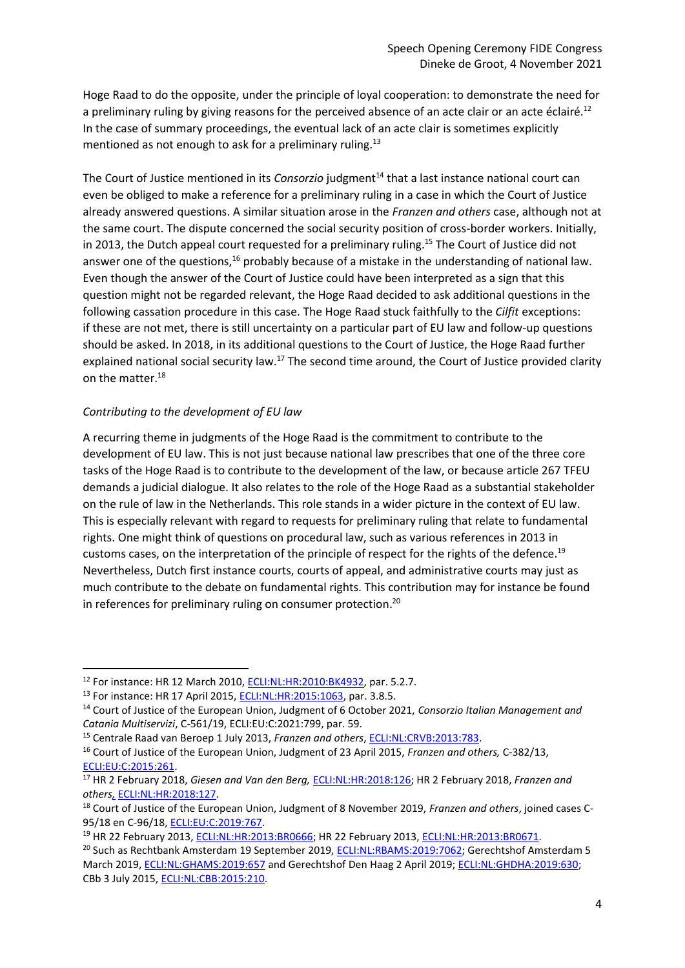Hoge Raad to do the opposite, under the principle of loyal cooperation: to demonstrate the need for a preliminary ruling by giving reasons for the perceived absence of an acte clair or an acte éclairé.<sup>12</sup> In the case of summary proceedings, the eventual lack of an acte clair is sometimes explicitly mentioned as not enough to ask for a preliminary ruling.<sup>13</sup>

The Court of Justice mentioned in its *Consorzio* judgment<sup>14</sup> that a last instance national court can even be obliged to make a reference for a preliminary ruling in a case in which the Court of Justice already answered questions. A similar situation arose in the *Franzen and others* case, although not at the same court. The dispute concerned the social security position of cross-border workers. Initially, in 2013, the Dutch appeal court requested for a preliminary ruling. <sup>15</sup> The Court of Justice did not answer one of the questions,<sup>16</sup> probably because of a mistake in the understanding of national law. Even though the answer of the Court of Justice could have been interpreted as a sign that this question might not be regarded relevant, the Hoge Raad decided to ask additional questions in the following cassation procedure in this case. The Hoge Raad stuck faithfully to the *Cilfit* exceptions: if these are not met, there is still uncertainty on a particular part of EU law and follow-up questions should be asked. In 2018, in its additional questions to the Court of Justice, the Hoge Raad further explained national social security law.<sup>17</sup> The second time around, the Court of Justice provided clarity on the matter.<sup>18</sup>

### *Contributing to the development of EU law*

1

A recurring theme in judgments of the Hoge Raad is the commitment to contribute to the development of EU law. This is not just because national law prescribes that one of the three core tasks of the Hoge Raad is to contribute to the development of the law, or because article 267 TFEU demands a judicial dialogue. It also relates to the role of the Hoge Raad as a substantial stakeholder on the rule of law in the Netherlands. This role stands in a wider picture in the context of EU law. This is especially relevant with regard to requests for preliminary ruling that relate to fundamental rights. One might think of questions on procedural law, such as various references in 2013 in customs cases, on the interpretation of the principle of respect for the rights of the defence.<sup>19</sup> Nevertheless, Dutch first instance courts, courts of appeal, and administrative courts may just as much contribute to the debate on fundamental rights. This contribution may for instance be found in references for preliminary ruling on consumer protection.<sup>20</sup>

<sup>&</sup>lt;sup>12</sup> For instance: HR 12 March 2010, **ECLI:NL:HR:2010:BK4932, par. 5.2.7.** 

<sup>&</sup>lt;sup>13</sup> For instance: HR 17 April 2015, **ECLI:NL:HR:2015:1063**, par. 3.8.5.

<sup>14</sup> Court of Justice of the European Union, Judgment of 6 October 2021, *Consorzio Italian Management and Catania Multiservizi*, C-561/19, ECLI:EU:C:2021:799, par. 59.

<sup>15</sup> Centrale Raad van Beroep 1 July 2013, *Franzen and others*, [ECLI:NL:CRVB:2013:783.](https://uitspraken.rechtspraak.nl/inziendocument?id=ECLI:NL:CRVB:2013:783)

<sup>16</sup> Court of Justice of the European Union, Judgment of 23 April 2015, *Franzen and others,* C-382/13, [ECLI:EU:C:2015:261.](https://curia.europa.eu/juris/documents.jsf?oqp=&for=&mat=or&lgrec=nl&jge=&td=%3BALL&jur=C%2CT%2CF&num=C-382%252F13&page=1&dates=&pcs=Oor&lg=&pro=&nat=or&cit=none%252CC%252CCJ%252CR%252C2008E%252C%252C%252C%252C%252C%252C%252C%252C%252C%252Ctrue%252Cfalse%252Cfalse&language=nl&avg=&cid=21341849)

<sup>17</sup> HR 2 February 2018, *Giesen and Van den Berg,* [ECLI:NL:HR:2018:126;](https://uitspraken.rechtspraak.nl/inziendocument?id=ECLI:NL:HR:2018:126) HR 2 February 2018, *Franzen and others,* [ECLI:NL:HR:2018:127.](https://uitspraken.rechtspraak.nl/inziendocument?id=ECLI:NL:HR:2018:127)

<sup>18</sup> Court of Justice of the European Union, Judgment of 8 November 2019, *Franzen and others*, joined cases C-95/18 en C-96/18, [ECLI:EU:C:2019:767.](https://curia.europa.eu/juris/documents.jsf?oqp=&for=&mat=or&lgrec=nl&jge=&td=%3BALL&jur=C%2CT%2CF&num=C-95%252F18&page=1&dates=&pcs=Oor&lg=&pro=&nat=or&cit=none%252CC%252CCJ%252CR%252C2008E%252C%252C%252C%252C%252C%252C%252C%252C%252C%252Ctrue%252Cfalse%252Cfalse&language=nl&avg=&cid=21341849)

<sup>&</sup>lt;sup>19</sup> HR 22 February 2013, **ECLI:NL:HR:2013:BR0666**; HR 22 February 2013, **ECLI:NL:HR:2013:BR0671**.

<sup>&</sup>lt;sup>20</sup> Such as Rechtbank Amsterdam 19 September 2019, [ECLI:NL:RBAMS:2019:7062;](http://deeplink.rechtspraak.nl/uitspraak?id=ECLI:NL:RBAMS:2019:7062) Gerechtshof Amsterdam 5 March 2019[, ECLI:NL:GHAMS:2019:657](http://deeplink.rechtspraak.nl/uitspraak?id=ECLI:NL:GHAMS:2019:657) and Gerechtshof Den Haag 2 April 2019; [ECLI:NL:GHDHA:2019:630;](http://deeplink.rechtspraak.nl/uitspraak?id=ECLI:NL:GHDHA:2019:630) CBb 3 July 2015, [ECLI:NL:CBB:2015:210.](http://deeplink.rechtspraak.nl/uitspraak?id=ECLI:NL:CBB:2015:210)